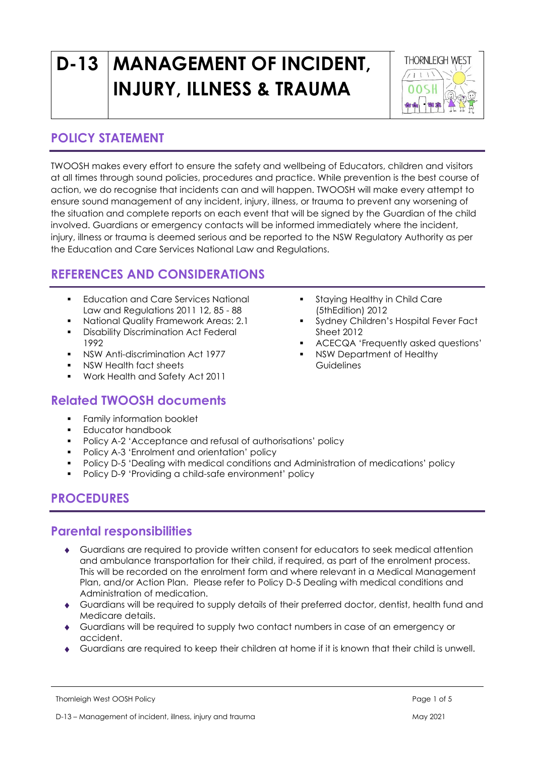# **D-13 MANAGEMENT OF INCIDENT, INJURY, ILLNESS & TRAUMA**



### **POLICY STATEMENT**

TWOOSH makes every effort to ensure the safety and wellbeing of Educators, children and visitors at all times through sound policies, procedures and practice. While prevention is the best course of action, we do recognise that incidents can and will happen. TWOOSH will make every attempt to ensure sound management of any incident, injury, illness, or trauma to prevent any worsening of the situation and complete reports on each event that will be signed by the Guardian of the child involved. Guardians or emergency contacts will be informed immediately where the incident, injury, illness or trauma is deemed serious and be reported to the NSW Regulatory Authority as per the Education and Care Services National Law and Regulations.

# **REFERENCES AND CONSIDERATIONS**

- **Education and Care Services National** Law and Regulations 2011 12, 85 - 88
- National Quality Framework Areas: 2.1
- **•** Disability Discrimination Act Federal 1992
- NSW Anti-discrimination Act 1977
- NSW Health fact sheets
- Work Health and Safety Act 2011

#### **Related TWOOSH documents**

- Family information booklet
- Educator handbook
- Policy A-2 'Acceptance and refusal of authorisations' policy
- Policy A-3 'Enrolment and orientation' policy
- Policy D-5 'Dealing with medical conditions and Administration of medications' policy
- Policy D-9 'Providing a child-safe environment' policy

## **PROCEDURES**

#### **Parental responsibilities**

- Guardians are required to provide written consent for educators to seek medical attention and ambulance transportation for their child, if required, as part of the enrolment process. This will be recorded on the enrolment form and where relevant in a Medical Management Plan, and/or Action Plan. Please refer to Policy D-5 Dealing with medical conditions and Administration of medication.
- Guardians will be required to supply details of their preferred doctor, dentist, health fund and Medicare details.
- Guardians will be required to supply two contact numbers in case of an emergency or accident.
- Guardians are required to keep their children at home if it is known that their child is unwell.
- **•** Staying Healthy in Child Care (5thEdition) 2012
- Sydney Children's Hospital Fever Fact Sheet 2012
- ACECQA 'Frequently asked questions'
- NSW Department of Healthy **Guidelines**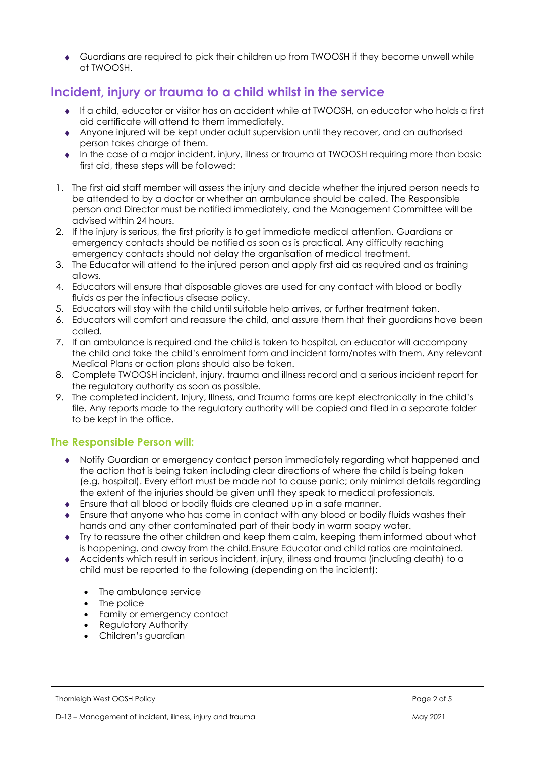Guardians are required to pick their children up from TWOOSH if they become unwell while at TWOOSH.

# **Incident, injury or trauma to a child whilst in the service**

- If a child, educator or visitor has an accident while at TWOOSH, an educator who holds a first aid certificate will attend to them immediately.
- Anyone injured will be kept under adult supervision until they recover, and an authorised person takes charge of them.
- In the case of a major incident, injury, illness or trauma at TWOOSH requiring more than basic first aid, these steps will be followed:
- 1. The first aid staff member will assess the injury and decide whether the injured person needs to be attended to by a doctor or whether an ambulance should be called. The Responsible person and Director must be notified immediately, and the Management Committee will be advised within 24 hours.
- 2. If the injury is serious, the first priority is to get immediate medical attention. Guardians or emergency contacts should be notified as soon as is practical. Any difficulty reaching emergency contacts should not delay the organisation of medical treatment.
- 3. The Educator will attend to the injured person and apply first aid as required and as training allows.
- 4. Educators will ensure that disposable gloves are used for any contact with blood or bodily fluids as per the infectious disease policy.
- 5. Educators will stay with the child until suitable help arrives, or further treatment taken.
- 6. Educators will comfort and reassure the child, and assure them that their guardians have been called.
- 7. If an ambulance is required and the child is taken to hospital, an educator will accompany the child and take the child's enrolment form and incident form/notes with them. Any relevant Medical Plans or action plans should also be taken.
- 8. Complete TWOOSH incident, injury, trauma and illness record and a serious incident report for the regulatory authority as soon as possible.
- 9. The completed incident, Injury, Illness, and Trauma forms are kept electronically in the child's file. Any reports made to the regulatory authority will be copied and filed in a separate folder to be kept in the office.

#### **The Responsible Person will:**

- Notify Guardian or emergency contact person immediately regarding what happened and the action that is being taken including clear directions of where the child is being taken (e.g. hospital). Every effort must be made not to cause panic; only minimal details regarding the extent of the injuries should be given until they speak to medical professionals.
- Ensure that all blood or bodily fluids are cleaned up in a safe manner.
- Ensure that anyone who has come in contact with any blood or bodily fluids washes their hands and any other contaminated part of their body in warm soapy water.
- Try to reassure the other children and keep them calm, keeping them informed about what is happening, and away from the child.Ensure Educator and child ratios are maintained.
- Accidents which result in serious incident, injury, illness and trauma (including death) to a child must be reported to the following (depending on the incident):
	- The ambulance service
	- The police
	- Family or emergency contact
	- Regulatory Authority
	- Children's guardian

Thornleigh West OOSH Policy Page 2 of 5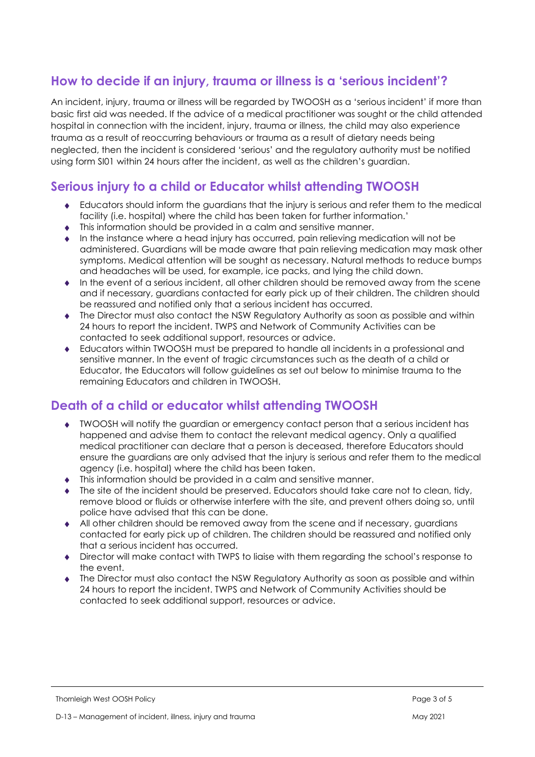# **How to decide if an injury, trauma or illness is a 'serious incident'?**

An incident, injury, trauma or illness will be regarded by TWOOSH as a 'serious incident' if more than basic first aid was needed. If the advice of a medical practitioner was sought or the child attended hospital in connection with the incident, injury, trauma or illness, the child may also experience trauma as a result of reoccurring behaviours or trauma as a result of dietary needs being neglected, then the incident is considered 'serious' and the regulatory authority must be notified using form SI01 within 24 hours after the incident, as well as the children's guardian.

#### **Serious injury to a child or Educator whilst attending TWOOSH**

- Educators should inform the guardians that the injury is serious and refer them to the medical facility (i.e. hospital) where the child has been taken for further information.'
- This information should be provided in a calm and sensitive manner.
- In the instance where a head injury has occurred, pain relieving medication will not be administered. Guardians will be made aware that pain relieving medication may mask other symptoms. Medical attention will be sought as necessary. Natural methods to reduce bumps and headaches will be used, for example, ice packs, and lying the child down.
- $\bullet$  In the event of a serious incident, all other children should be removed away from the scene and if necessary, guardians contacted for early pick up of their children. The children should be reassured and notified only that a serious incident has occurred.
- The Director must also contact the NSW Regulatory Authority as soon as possible and within 24 hours to report the incident. TWPS and Network of Community Activities can be contacted to seek additional support, resources or advice.
- Educators within TWOOSH must be prepared to handle all incidents in a professional and sensitive manner. In the event of tragic circumstances such as the death of a child or Educator, the Educators will follow guidelines as set out below to minimise trauma to the remaining Educators and children in TWOOSH.

## **Death of a child or educator whilst attending TWOOSH**

- TWOOSH will notify the guardian or emergency contact person that a serious incident has happened and advise them to contact the relevant medical agency. Only a qualified medical practitioner can declare that a person is deceased, therefore Educators should ensure the guardians are only advised that the injury is serious and refer them to the medical agency (i.e. hospital) where the child has been taken.
- This information should be provided in a calm and sensitive manner.
- The site of the incident should be preserved. Educators should take care not to clean, tidy, remove blood or fluids or otherwise interfere with the site, and prevent others doing so, until police have advised that this can be done.
- All other children should be removed away from the scene and if necessary, guardians contacted for early pick up of children. The children should be reassured and notified only that a serious incident has occurred.
- Director will make contact with TWPS to liaise with them regarding the school's response to the event.
- The Director must also contact the NSW Regulatory Authority as soon as possible and within 24 hours to report the incident. TWPS and Network of Community Activities should be contacted to seek additional support, resources or advice.

Thornleigh West OOSH Policy Page 3 of 5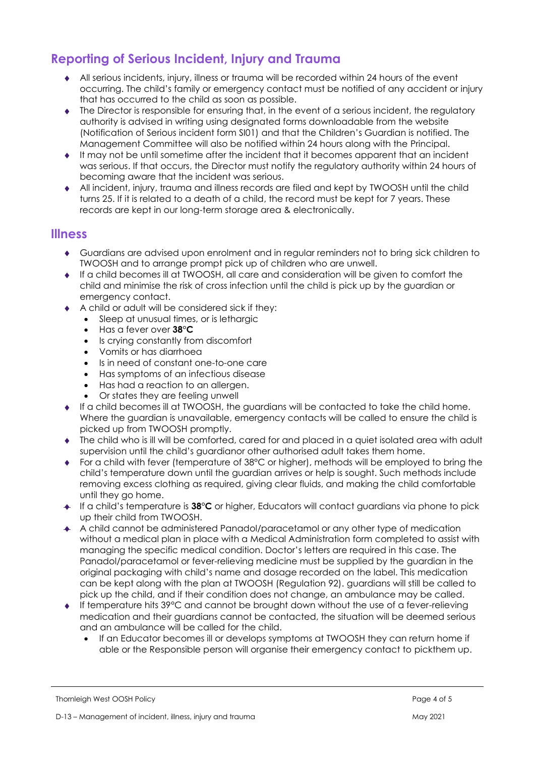# **Reporting of Serious Incident, Injury and Trauma**

- All serious incidents, injury, illness or trauma will be recorded within 24 hours of the event occurring. The child's family or emergency contact must be notified of any accident or injury that has occurred to the child as soon as possible.
- $\bullet$  The Director is responsible for ensuring that, in the event of a serious incident, the regulatory authority is advised in writing using designated forms downloadable from the website (Notification of Serious incident form SI01) and that the Children's Guardian is notified. The Management Committee will also be notified within 24 hours along with the Principal.
- It may not be until sometime after the incident that it becomes apparent that an incident was serious. If that occurs, the Director must notify the regulatory authority within 24 hours of becoming aware that the incident was serious.
- All incident, injury, trauma and illness records are filed and kept by TWOOSH until the child turns 25. If it is related to a death of a child, the record must be kept for 7 years. These records are kept in our long-term storage area & electronically.

#### **Illness**

- Guardians are advised upon enrolment and in regular reminders not to bring sick children to TWOOSH and to arrange prompt pick up of children who are unwell.
- If a child becomes ill at TWOOSH, all care and consideration will be given to comfort the child and minimise the risk of cross infection until the child is pick up by the guardian or emergency contact.
- A child or adult will be considered sick if they:
	- Sleep at unusual times, or is lethargic
	- Has a fever over **38°C**
	- Is crying constantly from discomfort
	- Vomits or has diarrhoea<br>• Is in need of constant or
	- Is in need of constant one-to-one care
	- Has symptoms of an infectious disease
	- Has had a reaction to an allergen.
	- Or states they are feeling unwell
- If a child becomes ill at TWOOSH, the guardians will be contacted to take the child home. Where the guardian is unavailable, emergency contacts will be called to ensure the child is picked up from TWOOSH promptly.
- The child who is ill will be comforted, cared for and placed in a quiet isolated area with adult supervision until the child's guardianor other authorised adult takes them home.
- ◆ For a child with fever (temperature of 38°C or higher), methods will be employed to bring the child's temperature down until the guardian arrives or help is sought. Such methods include removing excess clothing as required, giving clear fluids, and making the child comfortable until they go home.
- If a child's temperature is **38°C** or higher, Educators will contact guardians via phone to pick up their child from TWOOSH.
- A child cannot be administered Panadol/paracetamol or any other type of medication without a medical plan in place with a Medical Administration form completed to assist with managing the specific medical condition. Doctor's letters are required in this case. The Panadol/paracetamol or fever-relieving medicine must be supplied by the guardian in the original packaging with child's name and dosage recorded on the label. This medication can be kept along with the plan at TWOOSH (Regulation 92). guardians will still be called to pick up the child, and if their condition does not change, an ambulance may be called.
- If temperature hits 39°C and cannot be brought down without the use of a fever-relieving medication and their guardians cannot be contacted, the situation will be deemed serious and an ambulance will be called for the child.
	- If an Educator becomes ill or develops symptoms at TWOOSH they can return home if able or the Responsible person will organise their emergency contact to pickthem up.